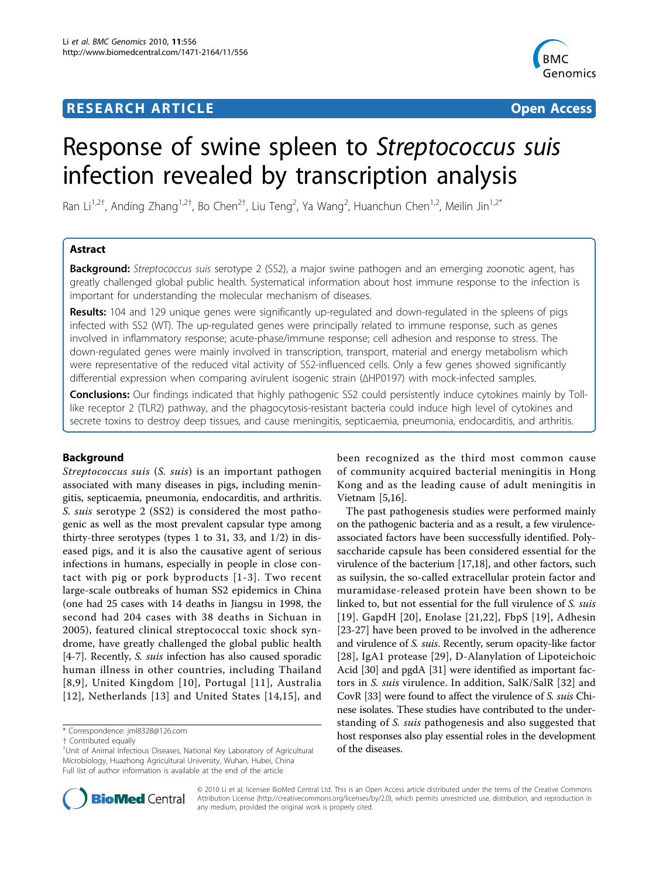# **RESEARCH ARTICLE Example 2018 12:30 THE Open Access**



# Response of swine spleen to Streptococcus suis infection revealed by transcription analysis

Ran Li<sup>1,2†</sup>, Anding Zhang<sup>1,2†</sup>, Bo Chen<sup>2†</sup>, Liu Teng<sup>2</sup>, Ya Wang<sup>2</sup>, Huanchun Chen<sup>1,2</sup>, Meilin Jin<sup>1,2\*</sup>

# Astract

**Background:** Streptococcus suis serotype 2 (SS2), a major swine pathogen and an emerging zoonotic agent, has greatly challenged global public health. Systematical information about host immune response to the infection is important for understanding the molecular mechanism of diseases.

Results: 104 and 129 unique genes were significantly up-regulated and down-regulated in the spleens of pigs infected with SS2 (WT). The up-regulated genes were principally related to immune response, such as genes involved in inflammatory response; acute-phase/immune response; cell adhesion and response to stress. The down-regulated genes were mainly involved in transcription, transport, material and energy metabolism which were representative of the reduced vital activity of SS2-influenced cells. Only a few genes showed significantly differential expression when comparing avirulent isogenic strain (ΔHP0197) with mock-infected samples.

Conclusions: Our findings indicated that highly pathogenic SS2 could persistently induce cytokines mainly by Tolllike receptor 2 (TLR2) pathway, and the phagocytosis-resistant bacteria could induce high level of cytokines and secrete toxins to destroy deep tissues, and cause meningitis, septicaemia, pneumonia, endocarditis, and arthritis.

# Background

Streptococcus suis (S. suis) is an important pathogen associated with many diseases in pigs, including meningitis, septicaemia, pneumonia, endocarditis, and arthritis. S. suis serotype 2 (SS2) is considered the most pathogenic as well as the most prevalent capsular type among thirty-three serotypes (types 1 to 31, 33, and 1/2) in diseased pigs, and it is also the causative agent of serious infections in humans, especially in people in close contact with pig or pork byproducts [[1-3](#page-10-0)]. Two recent large-scale outbreaks of human SS2 epidemics in China (one had 25 cases with 14 deaths in Jiangsu in 1998, the second had 204 cases with 38 deaths in Sichuan in 2005), featured clinical streptococcal toxic shock syndrome, have greatly challenged the global public health [[4-7](#page-10-0)]. Recently, S. suis infection has also caused sporadic human illness in other countries, including Thailand [[8,9](#page-10-0)], United Kingdom [[10\]](#page-10-0), Portugal [[11\]](#page-10-0), Australia [[12\]](#page-10-0), Netherlands [[13](#page-10-0)] and United States [\[14,15\]](#page-10-0), and

been recognized as the third most common cause of community acquired bacterial meningitis in Hong Kong and as the leading cause of adult meningitis in Vietnam [[5,16\]](#page-10-0).

The past pathogenesis studies were performed mainly on the pathogenic bacteria and as a result, a few virulenceassociated factors have been successfully identified. Polysaccharide capsule has been considered essential for the virulence of the bacterium [[17,18](#page-10-0)], and other factors, such as suilysin, the so-called extracellular protein factor and muramidase-released protein have been shown to be linked to, but not essential for the full virulence of S. suis [[19\]](#page-10-0). GapdH [[20](#page-10-0)], Enolase [[21](#page-10-0),[22\]](#page-10-0), FbpS [[19](#page-10-0)], Adhesin [[23-27\]](#page-10-0) have been proved to be involved in the adherence and virulence of S. suis. Recently, serum opacity-like factor [[28](#page-10-0)], IgA1 protease [[29\]](#page-10-0), D-Alanylation of Lipoteichoic Acid [[30](#page-10-0)] and pgdA [[31\]](#page-10-0) were identified as important factors in S. suis virulence. In addition, SalK/SalR [[32\]](#page-10-0) and CovR [\[33\]](#page-10-0) were found to affect the virulence of S. suis Chinese isolates. These studies have contributed to the understanding of S. suis pathogenesis and also suggested that host responses also play essential roles in the development of the diseases.



© 2010 Li et al; licensee BioMed Central Ltd. This is an Open Access article distributed under the terms of the Creative Commons Attribution License [\(http://creativecommons.org/licenses/by/2.0](http://creativecommons.org/licenses/by/2.0)), which permits unrestricted use, distribution, and reproduction in any medium, provided the original work is properly cited.

<sup>\*</sup> Correspondence: [jml8328@126.com](mailto:jml8328@126.com)

<sup>†</sup> Contributed equally <sup>1</sup>

<sup>&</sup>lt;sup>1</sup>Unit of Animal Infectious Diseases, National Key Laboratory of Agricultural Microbiology, Huazhong Agricultural University, Wuhan, Hubei, China Full list of author information is available at the end of the article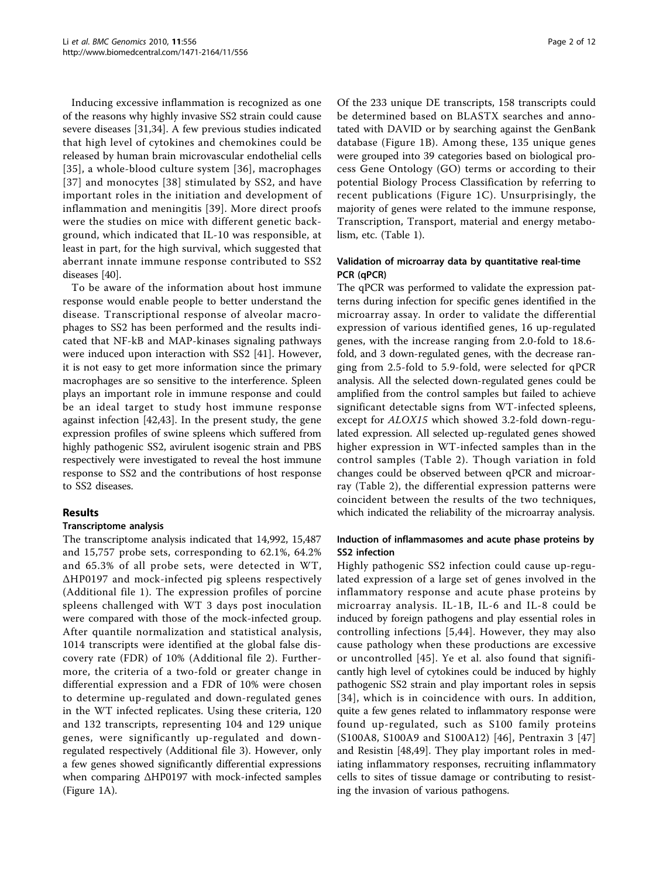Inducing excessive inflammation is recognized as one of the reasons why highly invasive SS2 strain could cause severe diseases [[31,34\]](#page-10-0). A few previous studies indicated that high level of cytokines and chemokines could be released by human brain microvascular endothelial cells [[35\]](#page-10-0), a whole-blood culture system [[36\]](#page-10-0), macrophages [[37\]](#page-10-0) and monocytes [[38\]](#page-10-0) stimulated by SS2, and have important roles in the initiation and development of inflammation and meningitis [[39\]](#page-10-0). More direct proofs were the studies on mice with different genetic background, which indicated that IL-10 was responsible, at least in part, for the high survival, which suggested that aberrant innate immune response contributed to SS2 diseases [[40](#page-10-0)].

To be aware of the information about host immune response would enable people to better understand the disease. Transcriptional response of alveolar macrophages to SS2 has been performed and the results indicated that NF-kB and MAP-kinases signaling pathways were induced upon interaction with SS2 [[41\]](#page-10-0). However, it is not easy to get more information since the primary macrophages are so sensitive to the interference. Spleen plays an important role in immune response and could be an ideal target to study host immune response against infection [[42,43\]](#page-11-0). In the present study, the gene expression profiles of swine spleens which suffered from highly pathogenic SS2, avirulent isogenic strain and PBS respectively were investigated to reveal the host immune response to SS2 and the contributions of host response to SS2 diseases.

# Results

# Transcriptome analysis

The transcriptome analysis indicated that 14,992, 15,487 and 15,757 probe sets, corresponding to 62.1%, 64.2% and 65.3% of all probe sets, were detected in WT, ΔHP0197 and mock-infected pig spleens respectively (Additional file [1](#page-9-0)). The expression profiles of porcine spleens challenged with WT 3 days post inoculation were compared with those of the mock-infected group. After quantile normalization and statistical analysis, 1014 transcripts were identified at the global false discovery rate (FDR) of 10% (Additional file [2](#page-9-0)). Furthermore, the criteria of a two-fold or greater change in differential expression and a FDR of 10% were chosen to determine up-regulated and down-regulated genes in the WT infected replicates. Using these criteria, 120 and 132 transcripts, representing 104 and 129 unique genes, were significantly up-regulated and downregulated respectively (Additional file [3](#page-9-0)). However, only a few genes showed significantly differential expressions when comparing ΔHP0197 with mock-infected samples (Figure [1A\)](#page-2-0).

Of the 233 unique DE transcripts, 158 transcripts could be determined based on BLASTX searches and annotated with DAVID or by searching against the GenBank database (Figure [1B](#page-2-0)). Among these, 135 unique genes were grouped into 39 categories based on biological process Gene Ontology (GO) terms or according to their potential Biology Process Classification by referring to recent publications (Figure [1C\)](#page-2-0). Unsurprisingly, the majority of genes were related to the immune response, Transcription, Transport, material and energy metabolism, etc. (Table [1\)](#page-3-0).

# Validation of microarray data by quantitative real-time PCR (qPCR)

The qPCR was performed to validate the expression patterns during infection for specific genes identified in the microarray assay. In order to validate the differential expression of various identified genes, 16 up-regulated genes, with the increase ranging from 2.0-fold to 18.6 fold, and 3 down-regulated genes, with the decrease ranging from 2.5-fold to 5.9-fold, were selected for qPCR analysis. All the selected down-regulated genes could be amplified from the control samples but failed to achieve significant detectable signs from WT-infected spleens, except for *ALOX15* which showed 3.2-fold down-regulated expression. All selected up-regulated genes showed higher expression in WT-infected samples than in the control samples (Table [2](#page-6-0)). Though variation in fold changes could be observed between qPCR and microarray (Table [2\)](#page-6-0), the differential expression patterns were coincident between the results of the two techniques, which indicated the reliability of the microarray analysis.

# Induction of inflammasomes and acute phase proteins by SS2 infection

Highly pathogenic SS2 infection could cause up-regulated expression of a large set of genes involved in the inflammatory response and acute phase proteins by microarray analysis. IL-1B, IL-6 and IL-8 could be induced by foreign pathogens and play essential roles in controlling infections [[5](#page-10-0),[44](#page-11-0)]. However, they may also cause pathology when these productions are excessive or uncontrolled [[45](#page-11-0)]. Ye et al. also found that significantly high level of cytokines could be induced by highly pathogenic SS2 strain and play important roles in sepsis [[34\]](#page-10-0), which is in coincidence with ours. In addition, quite a few genes related to inflammatory response were found up-regulated, such as S100 family proteins (S100A8, S100A9 and S100A12) [[46\]](#page-11-0), Pentraxin 3 [\[47](#page-11-0)] and Resistin [\[48,49](#page-11-0)]. They play important roles in mediating inflammatory responses, recruiting inflammatory cells to sites of tissue damage or contributing to resisting the invasion of various pathogens.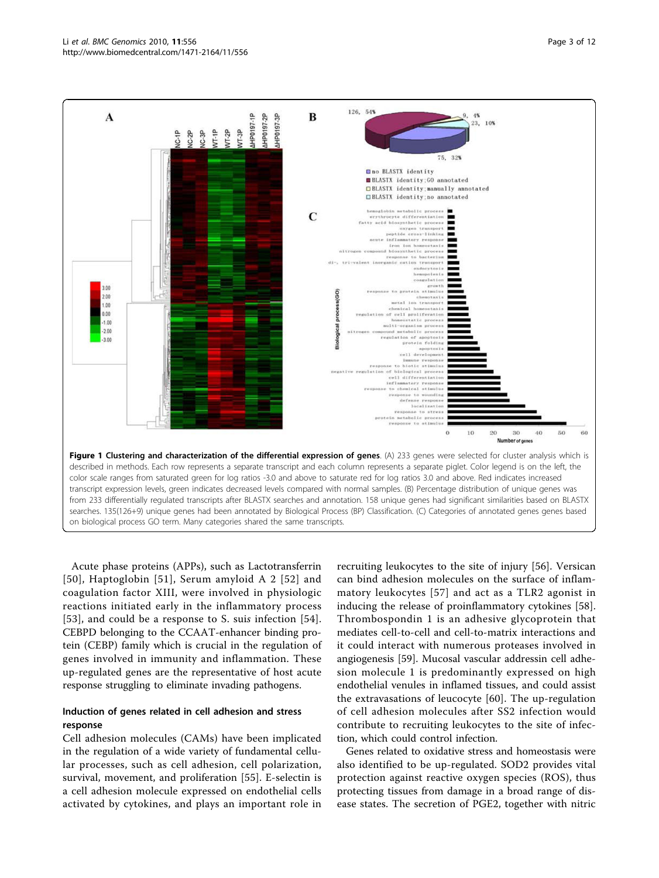<span id="page-2-0"></span>

Acute phase proteins (APPs), such as Lactotransferrin [[50\]](#page-11-0), Haptoglobin [[51](#page-11-0)], Serum amyloid A 2 [[52\]](#page-11-0) and coagulation factor XIII, were involved in physiologic reactions initiated early in the inflammatory process [[53](#page-11-0)], and could be a response to S. suis infection [[54](#page-11-0)]. CEBPD belonging to the CCAAT-enhancer binding protein (CEBP) family which is crucial in the regulation of genes involved in immunity and inflammation. These up-regulated genes are the representative of host acute response struggling to eliminate invading pathogens.

# Induction of genes related in cell adhesion and stress response

Cell adhesion molecules (CAMs) have been implicated in the regulation of a wide variety of fundamental cellular processes, such as cell adhesion, cell polarization, survival, movement, and proliferation [\[55](#page-11-0)]. E-selectin is a cell adhesion molecule expressed on endothelial cells activated by cytokines, and plays an important role in

recruiting leukocytes to the site of injury [[56\]](#page-11-0). Versican can bind adhesion molecules on the surface of inflammatory leukocytes [[57\]](#page-11-0) and act as a TLR2 agonist in inducing the release of proinflammatory cytokines [\[58](#page-11-0)]. Thrombospondin 1 is an adhesive glycoprotein that mediates cell-to-cell and cell-to-matrix interactions and it could interact with numerous proteases involved in angiogenesis [[59\]](#page-11-0). Mucosal vascular addressin cell adhesion molecule 1 is predominantly expressed on high endothelial venules in inflamed tissues, and could assist the extravasations of leucocyte [\[60](#page-11-0)]. The up-regulation of cell adhesion molecules after SS2 infection would contribute to recruiting leukocytes to the site of infection, which could control infection.

Genes related to oxidative stress and homeostasis were also identified to be up-regulated. SOD2 provides vital protection against reactive oxygen species (ROS), thus protecting tissues from damage in a broad range of disease states. The secretion of PGE2, together with nitric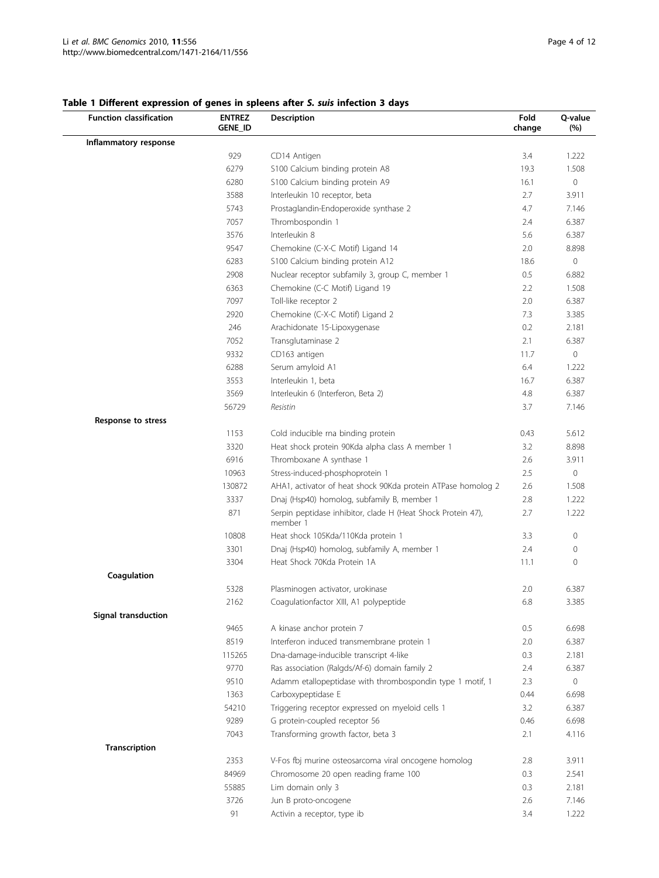| <b>Function classification</b> | <b>ENTREZ</b><br>GENE_ID | <b>Description</b>                                                       |      | Q-value<br>(%) |
|--------------------------------|--------------------------|--------------------------------------------------------------------------|------|----------------|
| Inflammatory response          |                          |                                                                          |      |                |
|                                | 929                      | CD14 Antigen                                                             | 3.4  | 1.222          |
|                                | 6279                     | S100 Calcium binding protein A8                                          | 19.3 | 1.508          |
|                                | 6280                     | S100 Calcium binding protein A9                                          | 16.1 | $\circ$        |
|                                | 3588                     | Interleukin 10 receptor, beta                                            | 2.7  | 3.911          |
|                                | 5743                     | Prostaglandin-Endoperoxide synthase 2                                    | 4.7  | 7.146          |
|                                | 7057                     | Thrombospondin 1                                                         | 2.4  | 6.387          |
|                                | 3576                     | Interleukin 8                                                            | 5.6  | 6.387          |
|                                | 9547                     | Chemokine (C-X-C Motif) Ligand 14                                        | 2.0  | 8.898          |
|                                | 6283                     | S100 Calcium binding protein A12                                         | 18.6 | $\circ$        |
|                                | 2908                     | Nuclear receptor subfamily 3, group C, member 1                          | 0.5  | 6.882          |
|                                | 6363                     | Chemokine (C-C Motif) Ligand 19                                          | 2.2  | 1.508          |
|                                | 7097                     | Toll-like receptor 2                                                     | 2.0  | 6.387          |
|                                | 2920                     | Chemokine (C-X-C Motif) Ligand 2                                         | 7.3  | 3.385          |
|                                | 246                      | Arachidonate 15-Lipoxygenase                                             | 0.2  | 2.181          |
|                                | 7052                     | Transglutaminase 2                                                       | 2.1  | 6.387          |
|                                | 9332                     | CD163 antigen                                                            | 11.7 | $\mathbf 0$    |
|                                | 6288                     | Serum amyloid A1                                                         | 6.4  | 1.222          |
|                                | 3553                     | Interleukin 1, beta                                                      | 16.7 | 6.387          |
|                                | 3569                     | Interleukin 6 (Interferon, Beta 2)                                       | 4.8  | 6.387          |
|                                | 56729                    | Resistin                                                                 | 3.7  | 7.146          |
| Response to stress             |                          |                                                                          |      |                |
|                                | 1153                     | Cold inducible rna binding protein                                       | 0.43 | 5.612          |
|                                | 3320                     | Heat shock protein 90Kda alpha class A member 1                          | 3.2  | 8.898          |
|                                | 6916                     | Thromboxane A synthase 1                                                 | 2.6  | 3.911          |
|                                | 10963                    | Stress-induced-phosphoprotein 1                                          | 2.5  | $\mathbf 0$    |
|                                | 130872                   | AHA1, activator of heat shock 90Kda protein ATPase homolog 2             | 2.6  | 1.508          |
|                                | 3337                     | Dnaj (Hsp40) homolog, subfamily B, member 1                              | 2.8  | 1.222          |
|                                | 871                      | Serpin peptidase inhibitor, clade H (Heat Shock Protein 47),<br>member 1 | 2.7  | 1.222          |
|                                | 10808                    | Heat shock 105Kda/110Kda protein 1                                       | 3.3  | $\mathbf 0$    |
|                                | 3301                     | Dnaj (Hsp40) homolog, subfamily A, member 1                              | 2.4  | 0              |
|                                | 3304                     | Heat Shock 70Kda Protein 1A                                              | 11.1 | $\mathbf{0}$   |
| Coagulation                    |                          |                                                                          |      |                |
|                                | 5328                     | Plasminogen activator, urokinase                                         | 2.0  | 6.387          |
|                                | 2162                     | Coagulationfactor XIII, A1 polypeptide                                   | 6.8  | 3.385          |
| Signal transduction            |                          |                                                                          |      |                |
|                                | 9465                     | A kinase anchor protein 7                                                | 0.5  | 6.698          |
|                                | 8519                     | Interferon induced transmembrane protein 1                               | 2.0  | 6.387          |
|                                | 115265                   | Dna-damage-inducible transcript 4-like                                   | 0.3  | 2.181          |
|                                | 9770                     | Ras association (Ralgds/Af-6) domain family 2                            | 2.4  | 6.387          |
|                                | 9510                     | Adamm etallopeptidase with thrombospondin type 1 motif, 1                | 2.3  | $\circ$        |
|                                | 1363                     | Carboxypeptidase E                                                       | 0.44 | 6.698          |
|                                | 54210                    | Triggering receptor expressed on myeloid cells 1                         | 3.2  | 6.387          |
|                                | 9289                     | G protein-coupled receptor 56                                            | 0.46 | 6.698          |
|                                | 7043                     | Transforming growth factor, beta 3                                       | 2.1  | 4.116          |
| Transcription                  |                          |                                                                          |      |                |
|                                | 2353                     | V-Fos fbj murine osteosarcoma viral oncogene homolog                     | 2.8  | 3.911          |
|                                | 84969                    | Chromosome 20 open reading frame 100                                     | 0.3  | 2.541          |
|                                | 55885                    | Lim domain only 3                                                        | 0.3  | 2.181          |
|                                | 3726                     | Jun B proto-oncogene                                                     | 2.6  | 7.146          |
|                                | 91                       | Activin a receptor, type ib                                              | 3.4  | 1.222          |

# <span id="page-3-0"></span>Table 1 Different expression of genes in spleens after S. suis infection 3 days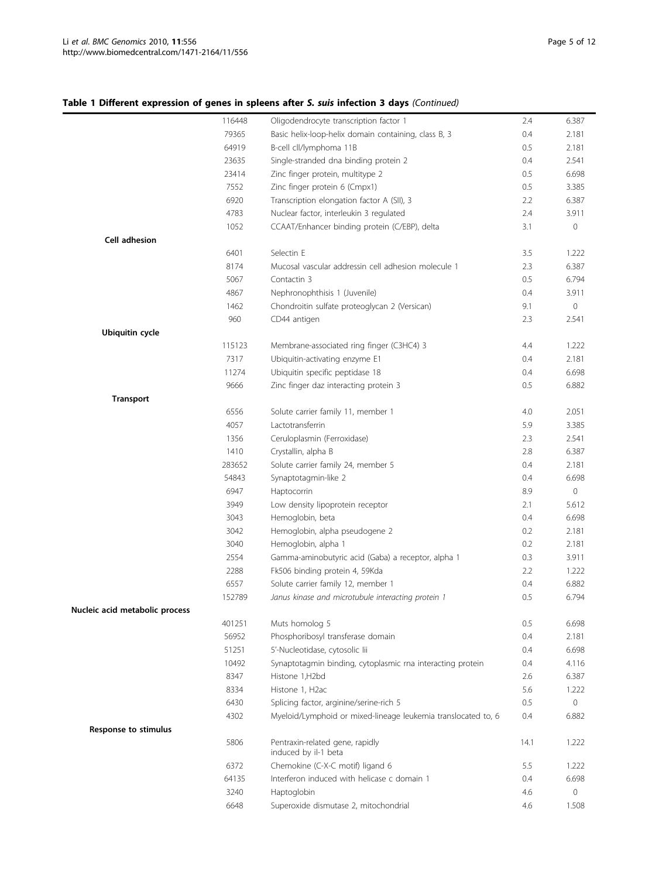|                                | 116448 | Oligodendrocyte transcription factor 1                        | 2.4  | 6.387 |
|--------------------------------|--------|---------------------------------------------------------------|------|-------|
|                                | 79365  | Basic helix-loop-helix domain containing, class B, 3          | 0.4  | 2.181 |
|                                | 64919  | B-cell cll/lymphoma 11B                                       | 0.5  | 2.181 |
|                                | 23635  | Single-stranded dna binding protein 2                         | 0.4  | 2.541 |
|                                | 23414  | Zinc finger protein, multitype 2                              | 0.5  | 6.698 |
|                                | 7552   | Zinc finger protein 6 (Cmpx1)                                 | 0.5  | 3.385 |
|                                | 6920   | Transcription elongation factor A (SII), 3                    | 2.2  | 6.387 |
|                                | 4783   | Nuclear factor, interleukin 3 regulated                       | 2.4  | 3.911 |
|                                | 1052   | CCAAT/Enhancer binding protein (C/EBP), delta                 | 3.1  | 0     |
| Cell adhesion                  |        |                                                               |      |       |
|                                | 6401   | Selectin E                                                    | 3.5  | 1.222 |
|                                | 8174   | Mucosal vascular addressin cell adhesion molecule 1           | 2.3  | 6.387 |
|                                | 5067   | Contactin 3                                                   | 0.5  | 6.794 |
|                                | 4867   | Nephronophthisis 1 (Juvenile)                                 | 0.4  | 3.911 |
|                                | 1462   | Chondroitin sulfate proteoglycan 2 (Versican)                 | 9.1  | 0     |
|                                | 960    | CD44 antigen                                                  | 2.3  | 2.541 |
| <b>Ubiquitin cycle</b>         |        |                                                               |      |       |
|                                | 115123 | Membrane-associated ring finger (C3HC4) 3                     | 4.4  | 1.222 |
|                                | 7317   | Ubiquitin-activating enzyme E1                                | 0.4  | 2.181 |
|                                | 11274  | Ubiquitin specific peptidase 18                               | 0.4  | 6.698 |
|                                | 9666   | Zinc finger daz interacting protein 3                         | 0.5  | 6.882 |
| <b>Transport</b>               |        |                                                               |      |       |
|                                | 6556   | Solute carrier family 11, member 1                            | 4.0  | 2.051 |
|                                | 4057   | Lactotransferrin                                              | 5.9  | 3.385 |
|                                | 1356   | Ceruloplasmin (Ferroxidase)                                   | 2.3  | 2.541 |
|                                | 1410   | Crystallin, alpha B                                           | 2.8  | 6.387 |
|                                | 283652 | Solute carrier family 24, member 5                            | 0.4  | 2.181 |
|                                | 54843  | Synaptotagmin-like 2                                          | 0.4  | 6.698 |
|                                | 6947   | Haptocorrin                                                   | 8.9  | 0     |
|                                | 3949   | Low density lipoprotein receptor                              | 2.1  | 5.612 |
|                                | 3043   | Hemoglobin, beta                                              | 0.4  | 6.698 |
|                                | 3042   | Hemoglobin, alpha pseudogene 2                                | 0.2  | 2.181 |
|                                | 3040   | Hemoglobin, alpha 1                                           | 0.2  | 2.181 |
|                                | 2554   | Gamma-aminobutyric acid (Gaba) a receptor, alpha 1            | 0.3  | 3.911 |
|                                | 2288   | Fk506 binding protein 4, 59Kda                                | 2.2  | 1.222 |
|                                | 6557   | Solute carrier family 12, member 1                            | 0.4  | 6.882 |
|                                | 152789 | Janus kinase and microtubule interacting protein 1            | 0.5  | 6.794 |
| Nucleic acid metabolic process |        |                                                               |      |       |
|                                | 401251 | Muts homolog 5                                                | 0.5  | 6.698 |
|                                | 56952  | Phosphoribosyl transferase domain                             | 0.4  | 2.181 |
|                                | 51251  | 5'-Nucleotidase, cytosolic lii                                | 0.4  | 6.698 |
|                                | 10492  | Synaptotagmin binding, cytoplasmic rna interacting protein    | 0.4  | 4.116 |
|                                | 8347   | Histone 1,H2bd                                                | 2.6  | 6.387 |
|                                | 8334   | Histone 1, H2ac                                               | 5.6  | 1.222 |
|                                | 6430   | Splicing factor, arginine/serine-rich 5                       | 0.5  | 0     |
|                                | 4302   | Myeloid/Lymphoid or mixed-lineage leukemia translocated to, 6 | 0.4  | 6.882 |
| Response to stimulus           |        |                                                               |      |       |
|                                | 5806   | Pentraxin-related gene, rapidly<br>induced by il-1 beta       | 14.1 | 1.222 |
|                                | 6372   | Chemokine (C-X-C motif) ligand 6                              | 5.5  | 1.222 |
|                                | 64135  | Interferon induced with helicase c domain 1                   | 0.4  | 6.698 |
|                                | 3240   | Haptoglobin                                                   | 4.6  | 0     |
|                                | 6648   | Superoxide dismutase 2, mitochondrial                         | 4.6  | 1.508 |
|                                |        |                                                               |      |       |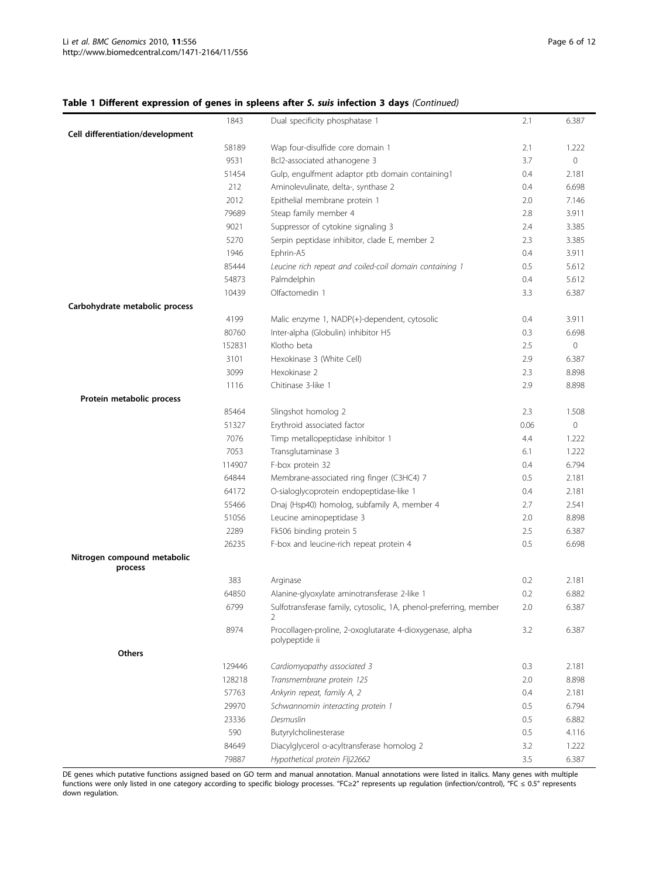# Table 1 Different expression of genes in spleens after S. suis infection 3 days (Continued)

|                                        | 1843   | Dual specificity phosphatase 1                                             | 2.1  | 6.387        |
|----------------------------------------|--------|----------------------------------------------------------------------------|------|--------------|
| Cell differentiation/development       |        |                                                                            |      |              |
|                                        | 58189  | Wap four-disulfide core domain 1                                           | 2.1  | 1.222        |
|                                        | 9531   | Bcl2-associated athanogene 3                                               | 3.7  | $\mathbf{0}$ |
|                                        | 51454  | Gulp, engulfment adaptor ptb domain containing1                            | 0.4  | 2.181        |
|                                        | 212    | Aminolevulinate, delta-, synthase 2                                        | 0.4  | 6.698        |
|                                        | 2012   | Epithelial membrane protein 1                                              | 2.0  | 7.146        |
|                                        | 79689  | Steap family member 4                                                      | 2.8  | 3.911        |
|                                        | 9021   | Suppressor of cytokine signaling 3                                         | 2.4  | 3.385        |
|                                        | 5270   | Serpin peptidase inhibitor, clade E, member 2                              | 2.3  | 3.385        |
|                                        | 1946   | Ephrin-A5                                                                  | 0.4  | 3.911        |
|                                        | 85444  | Leucine rich repeat and coiled-coil domain containing 1                    | 0.5  | 5.612        |
|                                        | 54873  | Palmdelphin                                                                | 0.4  | 5.612        |
|                                        | 10439  | Olfactomedin 1                                                             | 3.3  | 6.387        |
| Carbohydrate metabolic process         |        |                                                                            |      |              |
|                                        | 4199   | Malic enzyme 1, NADP(+)-dependent, cytosolic                               | 0.4  | 3.911        |
|                                        | 80760  | Inter-alpha (Globulin) inhibitor H5                                        | 0.3  | 6.698        |
|                                        | 152831 | Klotho beta                                                                | 2.5  | $\mathbf 0$  |
|                                        | 3101   | Hexokinase 3 (White Cell)                                                  | 2.9  | 6.387        |
|                                        | 3099   | Hexokinase 2                                                               | 2.3  | 8.898        |
|                                        | 1116   | Chitinase 3-like 1                                                         | 2.9  | 8.898        |
| Protein metabolic process              | 85464  | Slingshot homolog 2                                                        | 2.3  | 1.508        |
|                                        | 51327  | Erythroid associated factor                                                | 0.06 | $\mathbf{0}$ |
|                                        | 7076   | Timp metallopeptidase inhibitor 1                                          | 4.4  | 1.222        |
|                                        | 7053   | Transglutaminase 3                                                         | 6.1  | 1.222        |
|                                        | 114907 | F-box protein 32                                                           | 0.4  | 6.794        |
|                                        | 64844  | Membrane-associated ring finger (C3HC4) 7                                  | 0.5  | 2.181        |
|                                        | 64172  | O-sialoglycoprotein endopeptidase-like 1                                   | 0.4  | 2.181        |
|                                        | 55466  | Dnaj (Hsp40) homolog, subfamily A, member 4                                | 2.7  | 2.541        |
|                                        | 51056  | Leucine aminopeptidase 3                                                   | 2.0  | 8.898        |
|                                        | 2289   | Fk506 binding protein 5                                                    | 2.5  | 6.387        |
|                                        | 26235  | F-box and leucine-rich repeat protein 4                                    | 0.5  | 6.698        |
| Nitrogen compound metabolic<br>process |        |                                                                            |      |              |
|                                        | 383    | Arginase                                                                   | 0.2  | 2.181        |
|                                        | 64850  | Alanine-glyoxylate aminotransferase 2-like 1                               | 0.2  | 6.882        |
|                                        | 6799   | Sulfotransferase family, cytosolic, 1A, phenol-preferring, member<br>2     | 2.0  | 6.387        |
|                                        | 8974   | Procollagen-proline, 2-oxoglutarate 4-dioxygenase, alpha<br>polypeptide ii | 3.2  | 6.387        |
| Others                                 |        |                                                                            |      |              |
|                                        | 129446 | Cardiomyopathy associated 3                                                | 0.3  | 2.181        |
|                                        | 128218 | Transmembrane protein 125                                                  | 2.0  | 8.898        |
|                                        | 57763  | Ankyrin repeat, family A, 2                                                | 0.4  | 2.181        |
|                                        | 29970  | Schwannomin interacting protein 1                                          | 0.5  | 6.794        |
|                                        | 23336  | Desmuslin                                                                  | 0.5  | 6.882        |
|                                        | 590    | Butyrylcholinesterase                                                      | 0.5  | 4.116        |
|                                        | 84649  | Diacylglycerol o-acyltransferase homolog 2                                 | 3.2  | 1.222        |
|                                        | 79887  | Hypothetical protein Flj22662                                              | 3.5  | 6.387        |

DE genes which putative functions assigned based on GO term and manual annotation. Manual annotations were listed in italics. Many genes with multiple functions were only listed in one category according to specific biology processes. "FC≥2" represents up regulation (infection/control), "FC ≤ 0.5" represents down regulation.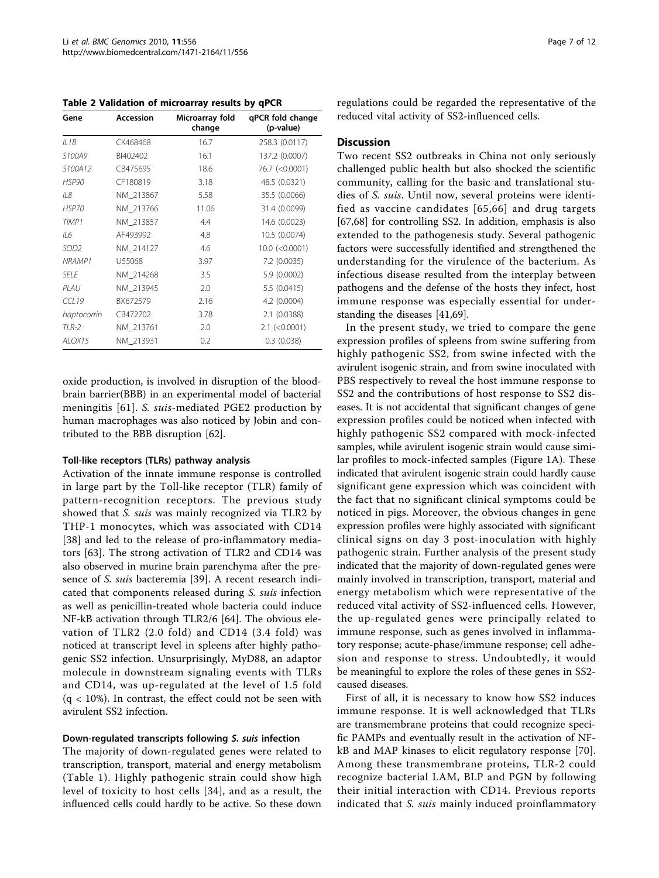<span id="page-6-0"></span>Table 2 Validation of microarray results by qPCR

| Gene             | Accession | Microarray fold<br>change | qPCR fold change<br>(p-value) |
|------------------|-----------|---------------------------|-------------------------------|
| ILIB             | CK468468  | 16.7                      | 258.3 (0.0117)                |
| S100A9           | BI402402  | 16.1                      | 137.2 (0.0007)                |
| S100A12          | CB475695  | 18.6                      | 76.7 (< 0.0001)               |
| HSP90            | CF180819  | 3.18                      | 48.5 (0.0321)                 |
| II8              | NM 213867 | 5.58                      | 35.5 (0.0066)                 |
| HSP70            | NM 213766 | 11.06                     | 31.4 (0.0099)                 |
| TIMP1            | NM 213857 | 4.4                       | 14.6 (0.0023)                 |
| IL6              | AF493992  | 4.8                       | 10.5 (0.0074)                 |
| SOD <sub>2</sub> | NM 214127 | 4.6                       | $10.0$ (< $0.0001$ )          |
| NRAMP1           | U55068    | 3.97                      | 7.2 (0.0035)                  |
| SFI F            | NM_214268 | 3.5                       | 5.9 (0.0002)                  |
| $PI$ AU          | NM 213945 | 2.0                       | 5.5 (0.0415)                  |
| CC119            | BX672579  | 2.16                      | 4.2 (0.0004)                  |
| haptocorrin      | CB472702  | 3.78                      | 2.1 (0.0388)                  |
| TLR-2            | NM 213761 | 2.0                       | $2.1$ (<0.0001)               |
| ALOX15           | NM 213931 | 0.2                       | 0.3(0.038)                    |

oxide production, is involved in disruption of the bloodbrain barrier(BBB) in an experimental model of bacterial meningitis [[61](#page-11-0)]. S. suis-mediated PGE2 production by human macrophages was also noticed by Jobin and contributed to the BBB disruption [[62\]](#page-11-0).

## Toll-like receptors (TLRs) pathway analysis

Activation of the innate immune response is controlled in large part by the Toll-like receptor (TLR) family of pattern-recognition receptors. The previous study showed that *S. suis* was mainly recognized via TLR2 by THP-1 monocytes, which was associated with CD14 [[38](#page-10-0)] and led to the release of pro-inflammatory mediators [\[63](#page-11-0)]. The strong activation of TLR2 and CD14 was also observed in murine brain parenchyma after the presence of S. suis bacteremia [[39\]](#page-10-0). A recent research indicated that components released during S. suis infection as well as penicillin-treated whole bacteria could induce NF-kB activation through TLR2/6 [\[64\]](#page-11-0). The obvious elevation of TLR2 (2.0 fold) and CD14 (3.4 fold) was noticed at transcript level in spleens after highly pathogenic SS2 infection. Unsurprisingly, MyD88, an adaptor molecule in downstream signaling events with TLRs and CD14, was up-regulated at the level of 1.5 fold  $(q < 10\%)$ . In contrast, the effect could not be seen with avirulent SS2 infection.

## Down-regulated transcripts following S. suis infection

The majority of down-regulated genes were related to transcription, transport, material and energy metabolism (Table [1\)](#page-3-0). Highly pathogenic strain could show high level of toxicity to host cells [[34\]](#page-10-0), and as a result, the influenced cells could hardly to be active. So these down regulations could be regarded the representative of the reduced vital activity of SS2-influenced cells.

## **Discussion**

Two recent SS2 outbreaks in China not only seriously challenged public health but also shocked the scientific community, calling for the basic and translational studies of S. suis. Until now, several proteins were identified as vaccine candidates [[65](#page-11-0),[66\]](#page-11-0) and drug targets [[67,68\]](#page-11-0) for controlling SS2. In addition, emphasis is also extended to the pathogenesis study. Several pathogenic factors were successfully identified and strengthened the understanding for the virulence of the bacterium. As infectious disease resulted from the interplay between pathogens and the defense of the hosts they infect, host immune response was especially essential for understanding the diseases [\[41,](#page-10-0)[69\]](#page-11-0).

In the present study, we tried to compare the gene expression profiles of spleens from swine suffering from highly pathogenic SS2, from swine infected with the avirulent isogenic strain, and from swine inoculated with PBS respectively to reveal the host immune response to SS2 and the contributions of host response to SS2 diseases. It is not accidental that significant changes of gene expression profiles could be noticed when infected with highly pathogenic SS2 compared with mock-infected samples, while avirulent isogenic strain would cause similar profiles to mock-infected samples (Figure [1A\)](#page-2-0). These indicated that avirulent isogenic strain could hardly cause significant gene expression which was coincident with the fact that no significant clinical symptoms could be noticed in pigs. Moreover, the obvious changes in gene expression profiles were highly associated with significant clinical signs on day 3 post-inoculation with highly pathogenic strain. Further analysis of the present study indicated that the majority of down-regulated genes were mainly involved in transcription, transport, material and energy metabolism which were representative of the reduced vital activity of SS2-influenced cells. However, the up-regulated genes were principally related to immune response, such as genes involved in inflammatory response; acute-phase/immune response; cell adhesion and response to stress. Undoubtedly, it would be meaningful to explore the roles of these genes in SS2 caused diseases.

First of all, it is necessary to know how SS2 induces immune response. It is well acknowledged that TLRs are transmembrane proteins that could recognize specific PAMPs and eventually result in the activation of NFkB and MAP kinases to elicit regulatory response [[70](#page-11-0)]. Among these transmembrane proteins, TLR-2 could recognize bacterial LAM, BLP and PGN by following their initial interaction with CD14. Previous reports indicated that *S. suis* mainly induced proinflammatory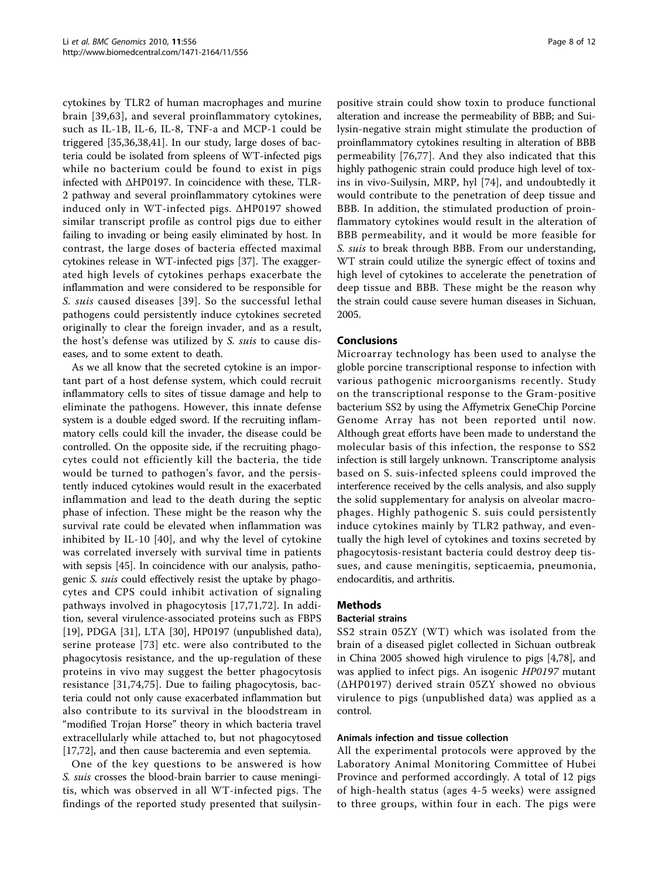cytokines by TLR2 of human macrophages and murine brain [[39,](#page-10-0)[63](#page-11-0)], and several proinflammatory cytokines, such as IL-1B, IL-6, IL-8, TNF-a and MCP-1 could be triggered [\[35,36,38,41](#page-10-0)]. In our study, large doses of bacteria could be isolated from spleens of WT-infected pigs while no bacterium could be found to exist in pigs infected with ΔHP0197. In coincidence with these, TLR-2 pathway and several proinflammatory cytokines were induced only in WT-infected pigs. ΔHP0197 showed similar transcript profile as control pigs due to either failing to invading or being easily eliminated by host. In contrast, the large doses of bacteria effected maximal cytokines release in WT-infected pigs [\[37\]](#page-10-0). The exaggerated high levels of cytokines perhaps exacerbate the inflammation and were considered to be responsible for S. suis caused diseases [[39\]](#page-10-0). So the successful lethal pathogens could persistently induce cytokines secreted originally to clear the foreign invader, and as a result, the host's defense was utilized by S. suis to cause diseases, and to some extent to death.

As we all know that the secreted cytokine is an important part of a host defense system, which could recruit inflammatory cells to sites of tissue damage and help to eliminate the pathogens. However, this innate defense system is a double edged sword. If the recruiting inflammatory cells could kill the invader, the disease could be controlled. On the opposite side, if the recruiting phagocytes could not efficiently kill the bacteria, the tide would be turned to pathogen's favor, and the persistently induced cytokines would result in the exacerbated inflammation and lead to the death during the septic phase of infection. These might be the reason why the survival rate could be elevated when inflammation was inhibited by IL-10 [[40\]](#page-10-0), and why the level of cytokine was correlated inversely with survival time in patients with sepsis [[45](#page-11-0)]. In coincidence with our analysis, pathogenic S. suis could effectively resist the uptake by phagocytes and CPS could inhibit activation of signaling pathways involved in phagocytosis [[17,](#page-10-0)[71](#page-11-0),[72\]](#page-11-0). In addition, several virulence-associated proteins such as FBPS [[19\]](#page-10-0), PDGA [[31\]](#page-10-0), LTA [\[30\]](#page-10-0), HP0197 (unpublished data), serine protease [[73](#page-11-0)] etc. were also contributed to the phagocytosis resistance, and the up-regulation of these proteins in vivo may suggest the better phagocytosis resistance [\[31,](#page-10-0)[74,75\]](#page-11-0). Due to failing phagocytosis, bacteria could not only cause exacerbated inflammation but also contribute to its survival in the bloodstream in "modified Trojan Horse" theory in which bacteria travel extracellularly while attached to, but not phagocytosed [[17,](#page-10-0)[72\]](#page-11-0), and then cause bacteremia and even septemia.

One of the key questions to be answered is how S. suis crosses the blood-brain barrier to cause meningitis, which was observed in all WT-infected pigs. The findings of the reported study presented that suilysinpositive strain could show toxin to produce functional alteration and increase the permeability of BBB; and Suilysin-negative strain might stimulate the production of proinflammatory cytokines resulting in alteration of BBB permeability [[76,77](#page-11-0)]. And they also indicated that this highly pathogenic strain could produce high level of toxins in vivo-Suilysin, MRP, hyl [[74](#page-11-0)], and undoubtedly it would contribute to the penetration of deep tissue and BBB. In addition, the stimulated production of proinflammatory cytokines would result in the alteration of BBB permeability, and it would be more feasible for S. suis to break through BBB. From our understanding, WT strain could utilize the synergic effect of toxins and high level of cytokines to accelerate the penetration of deep tissue and BBB. These might be the reason why the strain could cause severe human diseases in Sichuan, 2005.

# Conclusions

Microarray technology has been used to analyse the globle porcine transcriptional response to infection with various pathogenic microorganisms recently. Study on the transcriptional response to the Gram-positive bacterium SS2 by using the Affymetrix GeneChip Porcine Genome Array has not been reported until now. Although great efforts have been made to understand the molecular basis of this infection, the response to SS2 infection is still largely unknown. Transcriptome analysis based on S. suis-infected spleens could improved the interference received by the cells analysis, and also supply the solid supplementary for analysis on alveolar macrophages. Highly pathogenic S. suis could persistently induce cytokines mainly by TLR2 pathway, and eventually the high level of cytokines and toxins secreted by phagocytosis-resistant bacteria could destroy deep tissues, and cause meningitis, septicaemia, pneumonia, endocarditis, and arthritis.

# Methods

## Bacterial strains

SS2 strain 05ZY (WT) which was isolated from the brain of a diseased piglet collected in Sichuan outbreak in China 2005 showed high virulence to pigs [[4,](#page-10-0)[78\]](#page-11-0), and was applied to infect pigs. An isogenic HP0197 mutant (ΔHP0197) derived strain 05ZY showed no obvious virulence to pigs (unpublished data) was applied as a control.

## Animals infection and tissue collection

All the experimental protocols were approved by the Laboratory Animal Monitoring Committee of Hubei Province and performed accordingly. A total of 12 pigs of high-health status (ages 4-5 weeks) were assigned to three groups, within four in each. The pigs were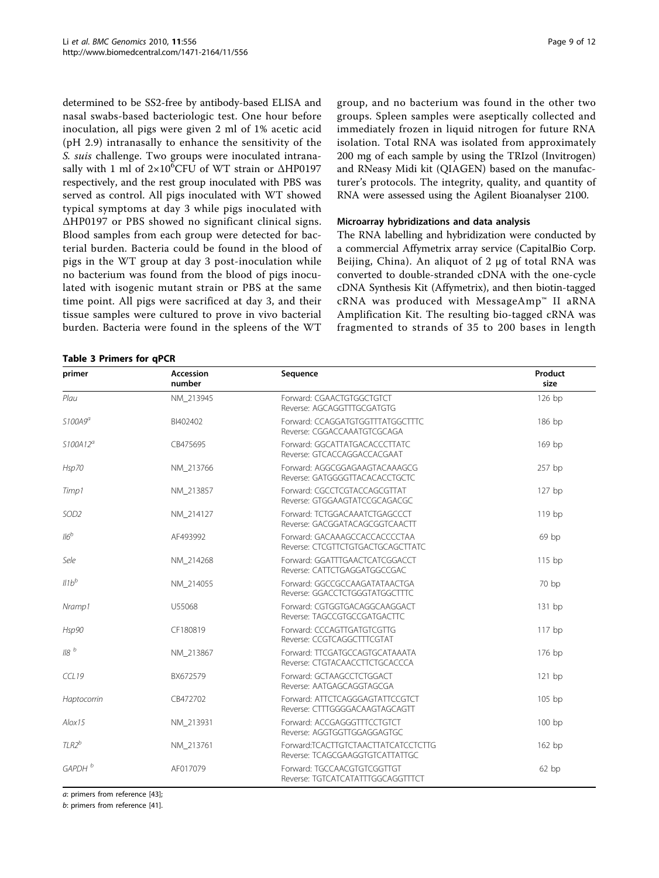<span id="page-8-0"></span>determined to be SS2-free by antibody-based ELISA and nasal swabs-based bacteriologic test. One hour before inoculation, all pigs were given 2 ml of 1% acetic acid (pH 2.9) intranasally to enhance the sensitivity of the S. suis challenge. Two groups were inoculated intranasally with 1 ml of 2×10<sup>6</sup>CFU of WT strain or ΔHP0197 respectively, and the rest group inoculated with PBS was served as control. All pigs inoculated with WT showed typical symptoms at day 3 while pigs inoculated with ΔHP0197 or PBS showed no significant clinical signs. Blood samples from each group were detected for bacterial burden. Bacteria could be found in the blood of pigs in the WT group at day 3 post-inoculation while no bacterium was found from the blood of pigs inoculated with isogenic mutant strain or PBS at the same time point. All pigs were sacrificed at day 3, and their tissue samples were cultured to prove in vivo bacterial burden. Bacteria were found in the spleens of the WT

## Table 3 Primers for qPCR

group, and no bacterium was found in the other two groups. Spleen samples were aseptically collected and immediately frozen in liquid nitrogen for future RNA isolation. Total RNA was isolated from approximately 200 mg of each sample by using the TRIzol (Invitrogen) and RNeasy Midi kit (QIAGEN) based on the manufacturer's protocols. The integrity, quality, and quantity of RNA were assessed using the Agilent Bioanalyser 2100.

## Microarray hybridizations and data analysis

The RNA labelling and hybridization were conducted by a commercial Affymetrix array service (CapitalBio Corp. Beijing, China). An aliquot of 2 μg of total RNA was converted to double-stranded cDNA with the one-cycle cDNA Synthesis Kit (Affymetrix), and then biotin-tagged cRNA was produced with MessageAmp™ II aRNA Amplification Kit. The resulting bio-tagged cRNA was fragmented to strands of 35 to 200 bases in length

| primer             | Accession<br>number | Sequence                                                               | Product<br>size |
|--------------------|---------------------|------------------------------------------------------------------------|-----------------|
| Plau               | NM_213945           | Forward: CGAACTGTGGCTGTCT<br>Reverse: AGCAGGTTTGCGATGTG                | 126 bp          |
| $$100A9^a$         | BI402402            | Forward: CCAGGATGTGGTTTATGGCTTTC<br>Reverse: CGGACCAAATGTCGCAGA        | 186 bp          |
| $$100A12^a$        | CB475695            | Forward: GGCATTATGACACCCTTATC<br>Reverse: GTCACCAGGACCACGAAT           | 169 bp          |
| Hsp70              | NM 213766           | Forward: AGGCGGAGAAGTACAAAGCG<br>Reverse: GATGGGGTTACACACCTGCTC        | 257 bp          |
| Timp1              | NM 213857           | Forward: CGCCTCGTACCAGCGTTAT<br>Reverse: GTGGAAGTATCCGCAGACGC          | 127 bp          |
| SOD <sub>2</sub>   | NM 214127           | Forward: TCTGGACAAATCTGAGCCCT<br>Reverse: GACGGATACAGCGGTCAACTT        | 119 bp          |
| $116^b$            | AF493992            | Forward: GACAAAGCCACCACCCCTAA<br>Reverse: CTCGTTCTGTGACTGCAGCTTATC     | 69 bp           |
| Sele               | NM_214268           | Forward: GGATTTGAACTCATCGGACCT<br>Reverse: CATTCTGAGGATGGCCGAC         | 115 bp          |
| $Il1b^b$           | NM_214055           | Forward: GGCCGCCAAGATATAACTGA<br>Reverse: GGACCTCTGGGTATGGCTTTC        | 70 bp           |
| Nramp1             | U55068              | Forward: CGTGGTGACAGGCAAGGACT<br>Reverse: TAGCCGTGCCGATGACTTC          | 131 bp          |
| Hsp90              | CF180819            | Forward: CCCAGTTGATGTCGTTG<br>Reverse: CCGTCAGGCTTTCGTAT               | $117$ bp        |
| 118b               | NM_213867           | Forward: TTCGATGCCAGTGCATAAATA<br>Reverse: CTGTACAACCTTCTGCACCCA       | 176 bp          |
| CCL19              | BX672579            | Forward: GCTAAGCCTCTGGACT<br>Reverse: AATGAGCAGGTAGCGA                 | $121$ bp        |
| Haptocorrin        | CB472702            | Forward: ATTCTCAGGGAGTATTCCGTCT<br>Reverse: CTTTGGGGACAAGTAGCAGTT      | 105 bp          |
| $A$ lox $15$       | NM_213931           | Forward: ACCGAGGGTTTCCTGTCT<br>Reverse: AGGTGGTTGGAGGAGTGC             | 100 bp          |
| $TLR2^b$           | NM 213761           | Forward:TCACTTGTCTAACTTATCATCCTCTTG<br>Reverse: TCAGCGAAGGTGTCATTATTGC | 162 bp          |
| GAPDH <sup>b</sup> | AF017079            | Forward: TGCCAACGTGTCGGTTGT<br>Reverse: TGTCATCATATTTGGCAGGTTTCT       | 62bp            |

a: primers from reference [[43\]](#page-11-0);

b: primers from reference [[41\]](#page-10-0).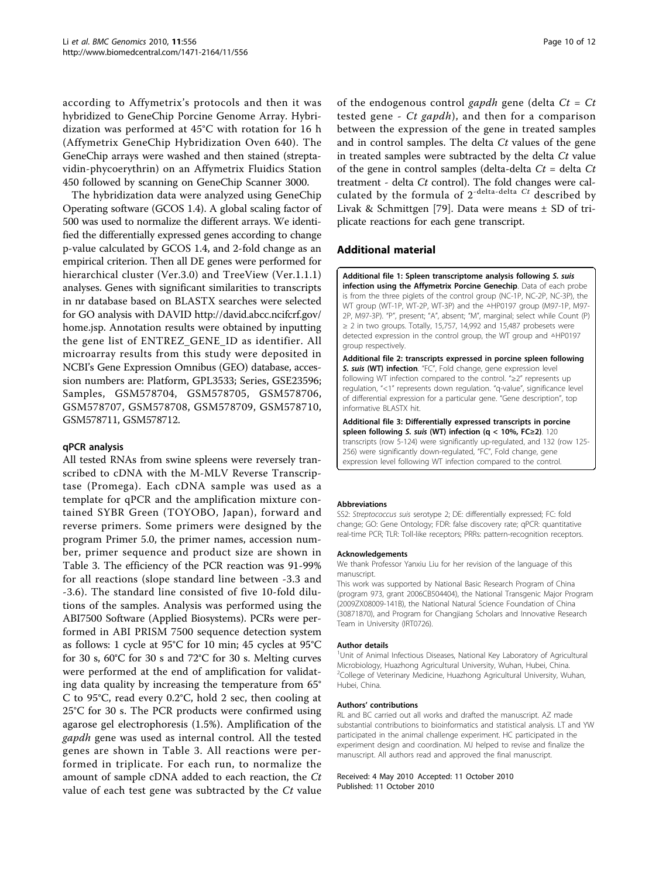<span id="page-9-0"></span>according to Affymetrix's protocols and then it was hybridized to GeneChip Porcine Genome Array. Hybridization was performed at 45°C with rotation for 16 h (Affymetrix GeneChip Hybridization Oven 640). The GeneChip arrays were washed and then stained (streptavidin-phycoerythrin) on an Affymetrix Fluidics Station 450 followed by scanning on GeneChip Scanner 3000.

The hybridization data were analyzed using GeneChip Operating software (GCOS 1.4). A global scaling factor of 500 was used to normalize the different arrays. We identified the differentially expressed genes according to change p-value calculated by GCOS 1.4, and 2-fold change as an empirical criterion. Then all DE genes were performed for hierarchical cluster (Ver.3.0) and TreeView (Ver.1.1.1) analyses. Genes with significant similarities to transcripts in nr database based on BLASTX searches were selected for GO analysis with DAVID [http://david.abcc.ncifcrf.gov/](http://david.abcc.ncifcrf.gov/home.jsp) [home.jsp.](http://david.abcc.ncifcrf.gov/home.jsp) Annotation results were obtained by inputting the gene list of ENTREZ\_GENE\_ID as identifier. All microarray results from this study were deposited in NCBI's Gene Expression Omnibus (GEO) database, accession numbers are: Platform, GPL3533; Series, GSE23596; Samples, GSM578704, GSM578705, GSM578706, GSM578707, GSM578708, GSM578709, GSM578710, GSM578711, GSM578712.

## qPCR analysis

All tested RNAs from swine spleens were reversely transcribed to cDNA with the M-MLV Reverse Transcriptase (Promega). Each cDNA sample was used as a template for qPCR and the amplification mixture contained SYBR Green (TOYOBO, Japan), forward and reverse primers. Some primers were designed by the program Primer 5.0, the primer names, accession number, primer sequence and product size are shown in Table [3](#page-8-0). The efficiency of the PCR reaction was 91-99% for all reactions (slope standard line between -3.3 and -3.6). The standard line consisted of five 10-fold dilutions of the samples. Analysis was performed using the ABI7500 Software (Applied Biosystems). PCRs were performed in ABI PRISM 7500 sequence detection system as follows: 1 cycle at 95°C for 10 min; 45 cycles at 95°C for 30 s, 60°C for 30 s and 72°C for 30 s. Melting curves were performed at the end of amplification for validating data quality by increasing the temperature from 65° C to 95°C, read every 0.2°C, hold 2 sec, then cooling at 25°C for 30 s. The PCR products were confirmed using agarose gel electrophoresis (1.5%). Amplification of the gapdh gene was used as internal control. All the tested genes are shown in Table [3.](#page-8-0) All reactions were performed in triplicate. For each run, to normalize the amount of sample cDNA added to each reaction, the Ct value of each test gene was subtracted by the  $Ct$  value

of the endogenous control gapdh gene (delta  $Ct = Ct$ tested gene -  $Ct$  gapdh), and then for a comparison between the expression of the gene in treated samples and in control samples. The delta  $C_t$  values of the gene in treated samples were subtracted by the delta  $Ct$  value of the gene in control samples (delta-delta  $C_t$  = delta  $C_t$ treatment - delta  $Ct$  control). The fold changes were calculated by the formula of  $2^{-delta$ -delta-delta Ct described by Livak & Schmittgen [[79\]](#page-11-0). Data were means ± SD of triplicate reactions for each gene transcript.

# Additional material

[Additional file 1: S](http://www.biomedcentral.com/content/supplementary/1471-2164-11-556-S1.XLS)pleen transcriptome analysis following S. suis infection using the Affymetrix Porcine Genechip. Data of each probe is from the three piglets of the control group (NC-1P, NC-2P, NC-3P), the WT group (WT-1P, WT-2P, WT-3P) and the △HP0197 group (M97-1P, M97- 2P, M97-3P). "P", present; "A", absent; "M", marginal; select while Count (P)  $\geq$  2 in two groups. Totally, 15,757, 14,992 and 15,487 probesets were detected expression in the control group, the WT group and △HP0197 group respectively.

[Additional file 2: t](http://www.biomedcentral.com/content/supplementary/1471-2164-11-556-S2.XLS)ranscripts expressed in porcine spleen following S. suis (WT) infection. "FC", Fold change, gene expression level following WT infection compared to the control. "≥2" represents up regulation, "<1" represents down regulation. "q-value", significance level of differential expression for a particular gene. "Gene description", top informative BLASTX hit.

[Additional file 3: D](http://www.biomedcentral.com/content/supplementary/1471-2164-11-556-S3.XLS)ifferentially expressed transcripts in porcine spleen following S. suis (WT) infection (q < 10%, FC≥2). 120 transcripts (row 5-124) were significantly up-regulated, and 132 (row 125- 256) were significantly down-regulated, "FC", Fold change, gene expression level following WT infection compared to the control.

#### **Abbreviations**

SS2: Streptococcus suis serotype 2; DE: differentially expressed; FC: fold change; GO: Gene Ontology; FDR: false discovery rate; qPCR: quantitative real-time PCR; TLR: Toll-like receptors; PRRs: pattern-recognition receptors.

#### Acknowledgements

We thank Professor Yanxiu Liu for her revision of the language of this manuscript.

This work was supported by National Basic Research Program of China (program 973, grant 2006CB504404), the National Transgenic Major Program (2009ZX08009-141B), the National Natural Science Foundation of China (30871870), and Program for Changjiang Scholars and Innovative Research Team in University (IRT0726).

#### Author details

<sup>1</sup>Unit of Animal Infectious Diseases, National Key Laboratory of Agricultural Microbiology, Huazhong Agricultural University, Wuhan, Hubei, China. <sup>2</sup>College of Veterinary Medicine, Huazhong Agricultural University, Wuhan Hubei, China.

#### Authors' contributions

RL and BC carried out all works and drafted the manuscript. AZ made substantial contributions to bioinformatics and statistical analysis. LT and YW participated in the animal challenge experiment. HC participated in the experiment design and coordination. MJ helped to revise and finalize the manuscript. All authors read and approved the final manuscript.

## Received: 4 May 2010 Accepted: 11 October 2010 Published: 11 October 2010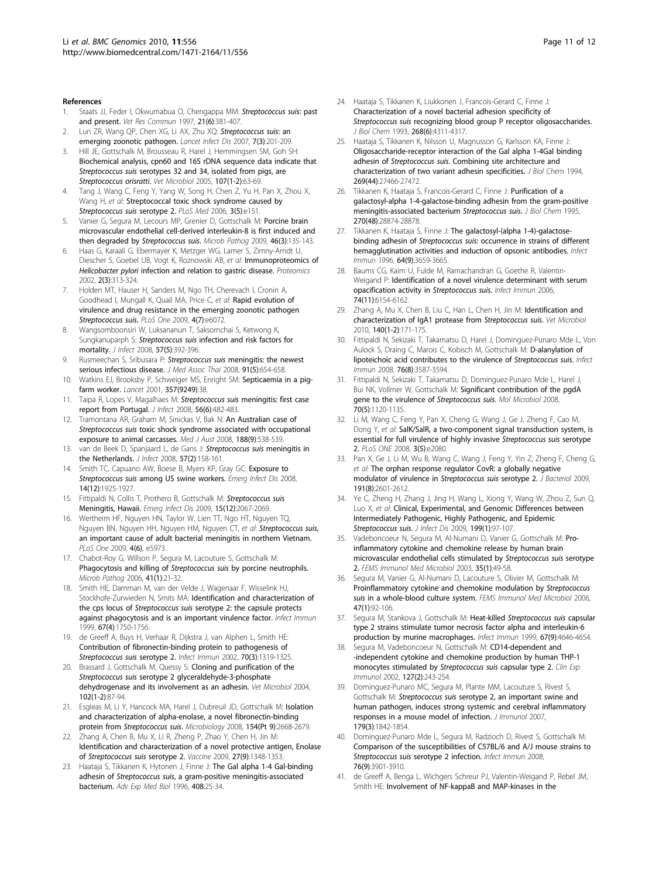#### <span id="page-10-0"></span>References

- 1. Staats JJ, Feder I, Okwumabua O, Chengappa MM: [Streptococcus suis](http://www.ncbi.nlm.nih.gov/pubmed/9266659?dopt=Abstract): past [and present.](http://www.ncbi.nlm.nih.gov/pubmed/9266659?dopt=Abstract) Vet Res Commun 1997, 21(6):381-407.
- Lun ZR, Wang QP, Chen XG, Li AX, Zhu XQ: [Streptococcus suis](http://www.ncbi.nlm.nih.gov/pubmed/17317601?dopt=Abstract): an [emerging zoonotic pathogen.](http://www.ncbi.nlm.nih.gov/pubmed/17317601?dopt=Abstract) Lancet Infect Dis 2007, 7(3):201-209.
- 3. Hill JE, Gottschalk M, Brousseau R, Harel J, Hemmingsen SM, Goh SH: [Biochemical analysis, cpn60 and 16S rDNA sequence data indicate that](http://www.ncbi.nlm.nih.gov/pubmed/15795078?dopt=Abstract) Streptococcus suis [serotypes 32 and 34, isolated from pigs, are](http://www.ncbi.nlm.nih.gov/pubmed/15795078?dopt=Abstract) [Streptococcus orisratti](http://www.ncbi.nlm.nih.gov/pubmed/15795078?dopt=Abstract). Vet Microbiol 2005, 107(1-2):63-69.
- 4. Tang J, Wang C, Feng Y, Yang W, Song H, Chen Z, Yu H, Pan X, Zhou X, Wang H, et al: [Streptococcal toxic shock syndrome caused by](http://www.ncbi.nlm.nih.gov/pubmed/16584289?dopt=Abstract) [Streptococcus suis](http://www.ncbi.nlm.nih.gov/pubmed/16584289?dopt=Abstract) serotype 2. PLoS Med 2006, 3(5):e151.
- Vanier G, Segura M, Lecours MP, Grenier D, Gottschalk M: [Porcine brain](http://www.ncbi.nlm.nih.gov/pubmed/19100324?dopt=Abstract) [microvascular endothelial cell-derived interleukin-8 is first induced and](http://www.ncbi.nlm.nih.gov/pubmed/19100324?dopt=Abstract) [then degraded by](http://www.ncbi.nlm.nih.gov/pubmed/19100324?dopt=Abstract) Streptococcus suis. Microb Pathog 2009, 46(3):135-143.
- 6. Haas G, Karaali G, Ebermayer K, Metzger WG, Lamer S, Zimny-Arndt U, Diescher S, Goebel UB, Vogt K, Roznowski AB, et al: [Immunoproteomics of](http://www.ncbi.nlm.nih.gov/pubmed/11921447?dopt=Abstract) Helicobacter pylori [infection and relation to gastric disease.](http://www.ncbi.nlm.nih.gov/pubmed/11921447?dopt=Abstract) Proteomics 2002, 2(3):313-324.
- 7. Holden MT, Hauser H, Sanders M, Ngo TH, Cherevach I, Cronin A, Goodhead I, Mungall K, Quail MA, Price C, et al: [Rapid evolution of](http://www.ncbi.nlm.nih.gov/pubmed/19603075?dopt=Abstract) [virulence and drug resistance in the emerging zoonotic pathogen](http://www.ncbi.nlm.nih.gov/pubmed/19603075?dopt=Abstract) [Streptococcus suis](http://www.ncbi.nlm.nih.gov/pubmed/19603075?dopt=Abstract). PLoS One 2009, 4(7):e6072.
- 8. Wangsomboonsiri W, Luksananun T, Saksornchai S, Ketwong K, Sungkanuparph S: Streptococcus suis [infection and risk factors for](http://www.ncbi.nlm.nih.gov/pubmed/18835496?dopt=Abstract) [mortality.](http://www.ncbi.nlm.nih.gov/pubmed/18835496?dopt=Abstract) J Infect 2008, 57(5):392-396.
- Rusmeechan S, Sribusara P: Streptococcus suis [meningitis: the newest](http://www.ncbi.nlm.nih.gov/pubmed/18672627?dopt=Abstract) [serious infectious disease.](http://www.ncbi.nlm.nih.gov/pubmed/18672627?dopt=Abstract) J Med Assoc Thai 2008, 91(5):654-658.
- 10. Watkins EJ, Brooksby P, Schweiger MS, Enright SM: [Septicaemia in a pig](http://www.ncbi.nlm.nih.gov/pubmed/11197360?dopt=Abstract)[farm worker.](http://www.ncbi.nlm.nih.gov/pubmed/11197360?dopt=Abstract) Lancet 2001, 357(9249):38.
- 11. Taipa R, Lopes V, Magalhaes M: Streptococcus suis [meningitis: first case](http://www.ncbi.nlm.nih.gov/pubmed/18433873?dopt=Abstract) [report from Portugal.](http://www.ncbi.nlm.nih.gov/pubmed/18433873?dopt=Abstract) J Infect 2008, 56(6):482-483.
- 12. Tramontana AR, Graham M, Sinickas V, Bak N; [An Australian case of](http://www.ncbi.nlm.nih.gov/pubmed/18459929?dopt=Abstract) Streptococcus suis [toxic shock syndrome associated with occupational](http://www.ncbi.nlm.nih.gov/pubmed/18459929?dopt=Abstract) [exposure to animal carcasses.](http://www.ncbi.nlm.nih.gov/pubmed/18459929?dopt=Abstract) Med J Aust 2008, 188(9):538-539.
- 13. van de Beek D, Spanjaard L, de Gans J: [Streptococcus suis](http://www.ncbi.nlm.nih.gov/pubmed/18538852?dopt=Abstract) meningitis in [the Netherlands.](http://www.ncbi.nlm.nih.gov/pubmed/18538852?dopt=Abstract) *J Infect* 2008, 57(2):158-161.
- 14. Smith TC, Capuano AW, Boese B, Myers KP, Gray GC: [Exposure to](http://www.ncbi.nlm.nih.gov/pubmed/19046523?dopt=Abstract) Streptococcus suis [among US swine workers.](http://www.ncbi.nlm.nih.gov/pubmed/19046523?dopt=Abstract) Emerg Infect Dis 2008, 14(12):1925-1927.
- 15. Fittipaldi N, Collis T, Prothero B, Gottschalk M: [Streptococcus suis](http://www.ncbi.nlm.nih.gov/pubmed/19961708?dopt=Abstract) [Meningitis, Hawaii.](http://www.ncbi.nlm.nih.gov/pubmed/19961708?dopt=Abstract) Emerg Infect Dis 2009, 15(12):2067-2069.
- 16. Wertheim HF, Nguyen HN, Taylor W, Lien TT, Ngo HT, Nguyen TQ, Nguyen BN, Nguyen HH, Nguyen HM, Nguyen CT, et al: [Streptococcus suis](http://www.ncbi.nlm.nih.gov/pubmed/19543404?dopt=Abstract), [an important cause of adult bacterial meningitis in northern Vietnam.](http://www.ncbi.nlm.nih.gov/pubmed/19543404?dopt=Abstract) PLoS One 2009, 4(6), e5973.
- 17. Chabot-Roy G, Willson P, Segura M, Lacouture S, Gottschalk M: [Phagocytosis and killing of](http://www.ncbi.nlm.nih.gov/pubmed/16714092?dopt=Abstract) Streptococcus suis by porcine neutrophils. Microb Pathog 2006, 41(1):21-32.
- 18. Smith HE, Damman M, van der Velde J, Wagenaar F, Wisselink HJ, Stockhofe-Zurwieden N, Smits MA: [Identification and characterization of](http://www.ncbi.nlm.nih.gov/pubmed/10085014?dopt=Abstract) the cps locus of Streptococcus suis [serotype 2: the capsule protects](http://www.ncbi.nlm.nih.gov/pubmed/10085014?dopt=Abstract) [against phagocytosis and is an important virulence factor.](http://www.ncbi.nlm.nih.gov/pubmed/10085014?dopt=Abstract) Infect Immun 1999, 67(4):1750-1756.
- 19. de Greeff A, Buys H, Verhaar R, Dijkstra J, van Alphen L, Smith HE: [Contribution of fibronectin-binding protein to pathogenesis of](http://www.ncbi.nlm.nih.gov/pubmed/11854216?dopt=Abstract) [Streptococcus suis](http://www.ncbi.nlm.nih.gov/pubmed/11854216?dopt=Abstract) serotype 2. Infect Immun 2002, 70(3):1319-1325.
- 20. Brassard J, Gottschalk M, Quessy S: [Cloning and purification of the](http://www.ncbi.nlm.nih.gov/pubmed/15288930?dopt=Abstract) Streptococcus suis [serotype 2 glyceraldehyde-3-phosphate](http://www.ncbi.nlm.nih.gov/pubmed/15288930?dopt=Abstract) [dehydrogenase and its involvement as an adhesin.](http://www.ncbi.nlm.nih.gov/pubmed/15288930?dopt=Abstract) Vet Microbiol 2004, 102(1-2):87-94.
- 21. Esgleas M, Li Y, Hancock MA, Harel J, Dubreuil JD, Gottschalk M: [Isolation](http://www.ncbi.nlm.nih.gov/pubmed/18757800?dopt=Abstract) [and characterization of alpha-enolase, a novel fibronectin-binding](http://www.ncbi.nlm.nih.gov/pubmed/18757800?dopt=Abstract) protein from [Streptococcus suis](http://www.ncbi.nlm.nih.gov/pubmed/18757800?dopt=Abstract). Microbiology 2008, 154(Pt 9):2668-2679.
- 22. Zhang A, Chen B, Mu X, Li R, Zheng P, Zhao Y, Chen H, Jin M: [Identification and characterization of a novel protective antigen, Enolase](http://www.ncbi.nlm.nih.gov/pubmed/19150475?dopt=Abstract) of [Streptococcus suis](http://www.ncbi.nlm.nih.gov/pubmed/19150475?dopt=Abstract) serotype 2. Vaccine 2009, 27(9):1348-1353.
- 23. Haataja S, Tikkanen K, Hytonen J, Finne J: [The Gal alpha 1-4 Gal-binding](http://www.ncbi.nlm.nih.gov/pubmed/8895773?dopt=Abstract) adhesin of Streptococcus suis[, a gram-positive meningitis-associated](http://www.ncbi.nlm.nih.gov/pubmed/8895773?dopt=Abstract) [bacterium.](http://www.ncbi.nlm.nih.gov/pubmed/8895773?dopt=Abstract) Adv Exp Med Biol 1996, 408:25-34.
- 24. Haataja S, Tikkanen K, Liukkonen J, Francois-Gerard C, Finne J: [Characterization of a novel bacterial adhesion specificity of](http://www.ncbi.nlm.nih.gov/pubmed/8440715?dopt=Abstract) Streptococcus suis [recognizing blood group P receptor oligosaccharides.](http://www.ncbi.nlm.nih.gov/pubmed/8440715?dopt=Abstract) J Biol Chem 1993, 268(6):4311-4317.
- 25. Haataja S, Tikkanen K, Nilsson U, Magnusson G, Karlsson KA, Finne J: [Oligosaccharide-receptor interaction of the Gal alpha 1-4Gal binding](http://www.ncbi.nlm.nih.gov/pubmed/7961660?dopt=Abstract) adhesin of Streptococcus suis[. Combining site architecture and](http://www.ncbi.nlm.nih.gov/pubmed/7961660?dopt=Abstract) [characterization of two variant adhesin specificities.](http://www.ncbi.nlm.nih.gov/pubmed/7961660?dopt=Abstract) J Biol Chem 1994, 269(44):27466-27472.
- 26. Tikkanen K, Haataja S, Francois-Gerard C, Finne J: [Purification of a](http://www.ncbi.nlm.nih.gov/pubmed/7499414?dopt=Abstract) [galactosyl-alpha 1-4-galactose-binding adhesin from the gram-positive](http://www.ncbi.nlm.nih.gov/pubmed/7499414?dopt=Abstract) [meningitis-associated bacterium](http://www.ncbi.nlm.nih.gov/pubmed/7499414?dopt=Abstract) Streptococcus suis. J Biol Chem 1995, 270(48):28874-28878.
- 27. Tikkanen K, Haataja S, Finne J: [The galactosyl-\(alpha 1-4\)-galactose](http://www.ncbi.nlm.nih.gov/pubmed/8751914?dopt=Abstract)binding adhesin of Streptococcus suis[: occurrence in strains of different](http://www.ncbi.nlm.nih.gov/pubmed/8751914?dopt=Abstract) [hemagglutination activities and induction of opsonic antibodies.](http://www.ncbi.nlm.nih.gov/pubmed/8751914?dopt=Abstract) Infect Immun 1996, 64(9):3659-3665.
- 28. Baums CG, Kaim U, Fulde M, Ramachandran G, Goethe R, Valentin-Weigand P: [Identification of a novel virulence determinant with serum](http://www.ncbi.nlm.nih.gov/pubmed/17057090?dopt=Abstract) [opacification activity in](http://www.ncbi.nlm.nih.gov/pubmed/17057090?dopt=Abstract) Streptococcus suis. Infect Immun 2006, 74(11):6154-6162.
- 29. Zhang A, Mu X, Chen B, Liu C, Han L, Chen H, Jin M: [Identification and](http://www.ncbi.nlm.nih.gov/pubmed/19619964?dopt=Abstract) [characterization of IgA1 protease from](http://www.ncbi.nlm.nih.gov/pubmed/19619964?dopt=Abstract) Streptococcus suis. Vet Microbiol 2010, 140(1-2):171-175.
- 30. Fittipaldi N, Sekizaki T, Takamatsu D, Harel J, Dominguez-Punaro Mde L, Von Aulock S, Draing C, Marois C, Kobisch M, Gottschalk M: [D-alanylation of](http://www.ncbi.nlm.nih.gov/pubmed/18474639?dopt=Abstract) [lipoteichoic acid contributes to the virulence of](http://www.ncbi.nlm.nih.gov/pubmed/18474639?dopt=Abstract) Streptococcus suis. Infect Immun 2008, 76(8):3587-3594.
- 31. Fittipaldi N, Sekizaki T, Takamatsu D, Dominguez-Punaro Mde L, Harel J, Bui NK, Vollmer W, Gottschalk M: [Significant contribution of the pgdA](http://www.ncbi.nlm.nih.gov/pubmed/18990186?dopt=Abstract) [gene to the virulence of](http://www.ncbi.nlm.nih.gov/pubmed/18990186?dopt=Abstract) Streptococcus suis. Mol Microbiol 2008, 70(5):1120-1135.
- 32. Li M, Wang C, Feng Y, Pan X, Cheng G, Wang J, Ge J, Zheng F, Cao M, Dong Y, et al: [SalK/SalR, a two-component signal transduction system, is](http://www.ncbi.nlm.nih.gov/pubmed/18461172?dopt=Abstract) [essential for full virulence of highly invasive](http://www.ncbi.nlm.nih.gov/pubmed/18461172?dopt=Abstract) Streptococcus suis serotype [2.](http://www.ncbi.nlm.nih.gov/pubmed/18461172?dopt=Abstract) PLoS ONE 2008, 3(5):e2080.
- 33. Pan X, Ge J, Li M, Wu B, Wang C, Wang J, Feng Y, Yin Z, Zheng F, Cheng G, et al: [The orphan response regulator CovR: a globally negative](http://www.ncbi.nlm.nih.gov/pubmed/19181815?dopt=Abstract) [modulator of virulence in](http://www.ncbi.nlm.nih.gov/pubmed/19181815?dopt=Abstract) Streptococcus suis serotype 2. J Bacteriol 2009, 191(8):2601-2612.
- 34. Ye C, Zheng H, Zhang J, Jing H, Wang L, Xiong Y, Wang W, Zhou Z, Sun Q, Luo X, et al: [Clinical, Experimental, and Genomic Differences between](http://www.ncbi.nlm.nih.gov/pubmed/19016627?dopt=Abstract) [Intermediately Pathogenic, Highly Pathogenic, and Epidemic](http://www.ncbi.nlm.nih.gov/pubmed/19016627?dopt=Abstract) [Streptococcus suis](http://www.ncbi.nlm.nih.gov/pubmed/19016627?dopt=Abstract). J Infect Dis 2009, 199(1):97-107.
- Vadeboncoeur N, Segura M, Al-Numani D, Vanier G, Gottschalk M: [Pro](http://www.ncbi.nlm.nih.gov/pubmed/12589957?dopt=Abstract)[inflammatory cytokine and chemokine release by human brain](http://www.ncbi.nlm.nih.gov/pubmed/12589957?dopt=Abstract) [microvascular endothelial cells stimulated by](http://www.ncbi.nlm.nih.gov/pubmed/12589957?dopt=Abstract) Streptococcus suis serotype [2.](http://www.ncbi.nlm.nih.gov/pubmed/12589957?dopt=Abstract) FEMS Immunol Med Microbiol 2003, 35(1):49-58.
- Segura M, Vanier G, Al-Numani D, Lacouture S, Olivier M, Gottschalk M: [Proinflammatory cytokine and chemokine modulation by](http://www.ncbi.nlm.nih.gov/pubmed/16706792?dopt=Abstract) Streptococcus suis [in a whole-blood culture system.](http://www.ncbi.nlm.nih.gov/pubmed/16706792?dopt=Abstract) FEMS Immunol Med Microbiol 2006, 47(1):92-106.
- Segura M, Stankova J, Gottschalk M: Heat-killed [Streptococcus suis](http://www.ncbi.nlm.nih.gov/pubmed/10456911?dopt=Abstract) capsular [type 2 strains stimulate tumor necrosis factor alpha and interleukin-6](http://www.ncbi.nlm.nih.gov/pubmed/10456911?dopt=Abstract) [production by murine macrophages.](http://www.ncbi.nlm.nih.gov/pubmed/10456911?dopt=Abstract) Infect Immun 1999, 67(9):4646-4654.
- 38. Segura M, Vadeboncoeur N, Gottschalk M: [CD14-dependent and](http://www.ncbi.nlm.nih.gov/pubmed/11876746?dopt=Abstract) [-independent cytokine and chemokine production by human THP-1](http://www.ncbi.nlm.nih.gov/pubmed/11876746?dopt=Abstract) [monocytes stimulated by](http://www.ncbi.nlm.nih.gov/pubmed/11876746?dopt=Abstract) Streptococcus suis capsular type 2. Clin Exp Immunol 2002, 127(2):243-254.
- 39. Dominguez-Punaro MC, Segura M, Plante MM, Lacouture S, Rivest S, Gottschalk M: Streptococcus suis [serotype 2, an important swine and](http://www.ncbi.nlm.nih.gov/pubmed/17641051?dopt=Abstract) [human pathogen, induces strong systemic and cerebral inflammatory](http://www.ncbi.nlm.nih.gov/pubmed/17641051?dopt=Abstract) [responses in a mouse model of infection.](http://www.ncbi.nlm.nih.gov/pubmed/17641051?dopt=Abstract) J Immunol 2007, 179(3):1842-1854.
- 40. Dominguez-Punaro Mde L, Segura M, Radzioch D, Rivest S, Gottschalk M: [Comparison of the susceptibilities of C57BL/6 and A/J mouse strains to](http://www.ncbi.nlm.nih.gov/pubmed/18573893?dopt=Abstract) Streptococcus suis [serotype 2 infection.](http://www.ncbi.nlm.nih.gov/pubmed/18573893?dopt=Abstract) Infect Immun 2008, 76(9):3901-3910.
- 41. de Greeff A, Benga L, Wichgers Schreur PJ, Valentin-Weigand P, Rebel JM, Smith HE: [Involvement of NF-kappaB and MAP-kinases in the](http://www.ncbi.nlm.nih.gov/pubmed/19709818?dopt=Abstract)